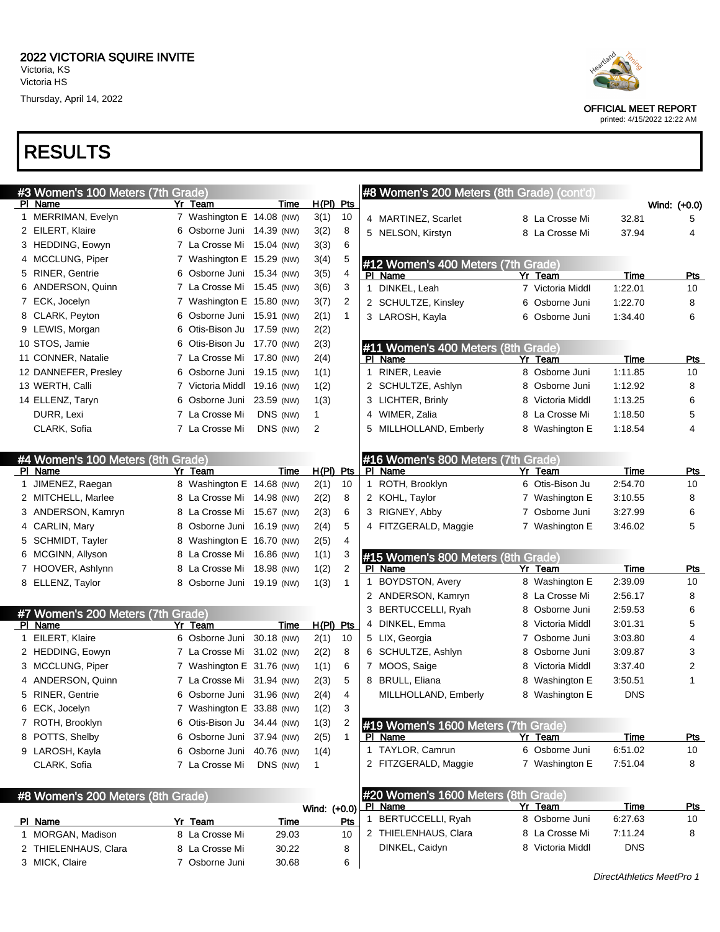## RESULTS

| #3 Women's 100 Meters (7th Grade) |   |                            |            |              |                | #8 Women's 200 Meters (8th Grade) (cont'd) |                  |             |              |
|-----------------------------------|---|----------------------------|------------|--------------|----------------|--------------------------------------------|------------------|-------------|--------------|
| PI Name                           |   | Yr Team                    | Time       | $H(PI)$ Pts  |                |                                            |                  |             | Wind: (+0.0) |
| 1 MERRIMAN, Evelyn                |   | 7 Washington E 14.08 (NW)  |            | 3(1)         | 10             | 4 MARTINEZ, Scarlet                        | 8 La Crosse Mi   | 32.81       | 5            |
| 2 EILERT, Klaire                  |   | 6 Osborne Juni 14.39 (NW)  |            | 3(2)         | 8              | 5 NELSON, Kirstyn                          | 8 La Crosse Mi   | 37.94       | 4            |
| 3 HEDDING, Eowyn                  |   | 7 La Crosse Mi 15.04 (NW)  |            | 3(3)         | 6              |                                            |                  |             |              |
| 4 MCCLUNG, Piper                  |   | 7 Washington E 15.29 (NW)  |            | 3(4)         | 5              | #12 Women's 400 Meters (7th Grade)         |                  |             |              |
| 5 RINER, Gentrie                  |   | 6 Osborne Juni 15.34 (NW)  |            | 3(5)         | 4              | PI Name                                    | Yr Team          | Time        | Pts          |
| 6 ANDERSON, Quinn                 |   | 7 La Crosse Mi 15.45 (NW)  |            | 3(6)         | 3              | 1 DINKEL, Leah                             | 7 Victoria Middl | 1:22.01     | 10           |
| 7 ECK, Jocelyn                    |   | 7 Washington E 15.80 (NW)  |            | 3(7)         | 2              | 2 SCHULTZE, Kinsley                        | 6 Osborne Juni   | 1:22.70     | 8            |
| 8 CLARK, Peyton                   | 6 | Osborne Juni 15.91 (NW)    |            | 2(1)         | 1              | 3 LAROSH, Kayla                            | 6 Osborne Juni   | 1:34.40     | 6            |
| 9 LEWIS, Morgan                   | 6 | Otis-Bison Ju 17.59 (NW)   |            | 2(2)         |                |                                            |                  |             |              |
| 10 STOS, Jamie                    | 6 | Otis-Bison Ju 17.70 (NW)   |            | 2(3)         |                | #11 Women's 400 Meters (8th Grade)         |                  |             |              |
| 11 CONNER, Natalie                |   | 7 La Crosse Mi 17.80 (NW)  |            | 2(4)         |                | PI Name                                    | Yr Team          | Time        | Pts          |
| 12 DANNEFER, Presley              |   | 6 Osborne Juni 19.15 (NW)  |            | 1(1)         |                | 1 RINER, Leavie                            | 8 Osborne Juni   | 1:11.85     | 10           |
| 13 WERTH, Calli                   |   | 7 Victoria Middl           | 19.16 (NW) | 1(2)         |                | 2 SCHULTZE, Ashlyn                         | 8 Osborne Juni   | 1:12.92     | 8            |
| 14 ELLENZ, Taryn                  |   | 6 Osborne Juni             | 23.59 (NW) | 1(3)         |                | 3 LICHTER, Brinly                          | 8 Victoria Middl | 1:13.25     | 6            |
| DURR, Lexi                        |   | 7 La Crosse Mi             | DNS (NW)   | 1            |                | 4 WIMER, Zalia                             | 8 La Crosse Mi   | 1:18.50     | 5            |
| CLARK, Sofia                      |   | 7 La Crosse Mi             | DNS (NW)   | 2            |                | 5 MILLHOLLAND, Emberly                     | 8 Washington E   | 1:18.54     | 4            |
|                                   |   |                            |            |              |                |                                            |                  |             |              |
| #4 Women's 100 Meters (8th Grade) |   |                            |            |              |                | #16 Women's 800 Meters (7th Grade)         |                  |             |              |
| PI Name                           |   | Yr Team                    | Time       | $H(PI)$ Pts  |                | PI Name                                    | Yr Team          | Time        | <b>Pts</b>   |
| 1 JIMENEZ, Raegan                 |   | 8 Washington E 14.68 (NW)  |            | 2(1)         | 10             | 1 ROTH, Brooklyn                           | 6 Otis-Bison Ju  | 2:54.70     | 10           |
| 2 MITCHELL, Marlee                |   | 8 La Crosse Mi 14.98 (NW)  |            | 2(2)         | 8              | 2 KOHL, Taylor                             | 7 Washington E   | 3:10.55     | 8            |
| 3 ANDERSON, Kamryn                |   | 8 La Crosse Mi 15.67 (NW)  |            | 2(3)         | 6              | 3 RIGNEY, Abby                             | 7 Osborne Juni   | 3:27.99     | 6            |
| 4 CARLIN, Mary                    | 8 | Osborne Juni 16.19 (NW)    |            | 2(4)         | 5              | 4 FITZGERALD, Maggie                       | 7 Washington E   | 3:46.02     | 5            |
| 5 SCHMIDT, Tayler                 |   | 8 Washington E 16.70 (NW)  |            | 2(5)         | 4              |                                            |                  |             |              |
| 6 MCGINN, Allyson                 |   | 8 La Crosse Mi 16.86 (NW)  |            | 1(1)         | 3              | #15 Women's 800 Meters (8th Grade)         |                  |             |              |
| 7 HOOVER, Ashlynn                 | 8 | La Crosse Mi 18.98 (NW)    |            | 1(2)         | 2              | PI Name                                    | Yr Team          | Time        | Pts          |
| 8 ELLENZ, Taylor                  |   | 8 Osborne Juni 19.19 (NW)  |            | 1(3)         | 1              | <b>BOYDSTON, Avery</b>                     | 8 Washington E   | 2:39.09     | 10           |
|                                   |   |                            |            |              |                | 2 ANDERSON, Kamryn                         | 8 La Crosse Mi   | 2:56.17     | 8            |
| #7 Women's 200 Meters (7th Grade) |   |                            |            |              |                | 3 BERTUCCELLI, Ryah                        | 8 Osborne Juni   | 2:59.53     | 6            |
| PI Name                           |   | Yr Team                    | Time       | $H(PI)$ Pts  |                | 4 DINKEL, Emma                             | 8 Victoria Middl | 3:01.31     | 5            |
| 1 EILERT, Klaire                  |   | 6 Osborne Juni 30.18 (NW)  |            | 2(1)         | 10             | 5 LIX, Georgia                             | 7 Osborne Juni   | 3:03.80     | 4            |
| 2 HEDDING, Eowyn                  |   | 7 La Crosse Mi 31.02 (NW)  |            | 2(2)         | 8              | 6 SCHULTZE, Ashlyn                         | 8 Osborne Juni   | 3:09.87     | 3            |
| 3 MCCLUNG, Piper                  |   | 7 Washington E 31.76 (NW)  |            | 1(1)         | 6              | 7 MOOS, Saige                              | 8 Victoria Middl | 3:37.40     | 2            |
| 4 ANDERSON, Quinn                 |   | 7 La Crosse Mi 31.94 (NW)  |            | 2(3)         | 5              | 8 BRULL, Eliana                            | 8 Washington E   | 3:50.51     | 1            |
| 5 RINER, Gentrie                  |   | 6 Osborne Juni 31.96 (NW)  |            | 2(4)         | 4              | MILLHOLLAND, Emberly                       | 8 Washington E   | <b>DNS</b>  |              |
| 6 ECK, Jocelyn                    |   | 7 Washington E 33.88 (NW)  |            | 1(2)         | 3              |                                            |                  |             |              |
| 7 ROTH, Brooklyn                  |   | 6 Otis-Bison Ju 34.44 (NW) |            | 1(3)         | $\overline{2}$ | #19 Women's 1600 Meters (7th Grade)        |                  |             |              |
| 8 POTTS, Shelby                   |   | 6 Osborne Juni 37.94 (NW)  |            | 2(5)         | 1              | PI Name                                    | Yr Team          | Time        | <u>Pts</u>   |
| 9 LAROSH, Kayla                   |   | 6 Osborne Juni 40.76 (NW)  |            | 1(4)         |                | 1 TAYLOR, Camrun                           | 6 Osborne Juni   | 6:51.02     | 10           |
| CLARK, Sofia                      |   | 7 La Crosse Mi             | DNS (NW)   | $\mathbf 1$  |                | 2 FITZGERALD, Maggie                       | 7 Washington E   | 7:51.04     | 8            |
|                                   |   |                            |            |              |                |                                            |                  |             |              |
| #8 Women's 200 Meters (8th Grade) |   |                            |            |              |                | #20 Women's 1600 Meters (8th Grade)        |                  |             |              |
|                                   |   |                            |            | Wind: (+0.0) |                | PI Name                                    | Yr Team          | <b>Time</b> | <u>Pts</u>   |
| PI Name                           |   | Yr Team                    | Time       |              | Pts            | 1 BERTUCCELLI, Ryah                        | 8 Osborne Juni   | 6:27.63     | 10           |
| 1 MORGAN, Madison                 |   | 8 La Crosse Mi             | 29.03      |              | 10             | 2 THIELENHAUS, Clara                       | 8 La Crosse Mi   | 7:11.24     | 8            |
| 2 THIELENHAUS, Clara              |   | 8 La Crosse Mi             | 30.22      |              | 8              | DINKEL, Caidyn                             | 8 Victoria Middl | <b>DNS</b>  |              |
| 3 MICK, Claire                    |   | 7 Osborne Juni             | 30.68      |              | 6              |                                            |                  |             |              |



OFFICIAL MEET REPORT printed: 4/15/2022 12:22 AM

DirectAthletics MeetPro 1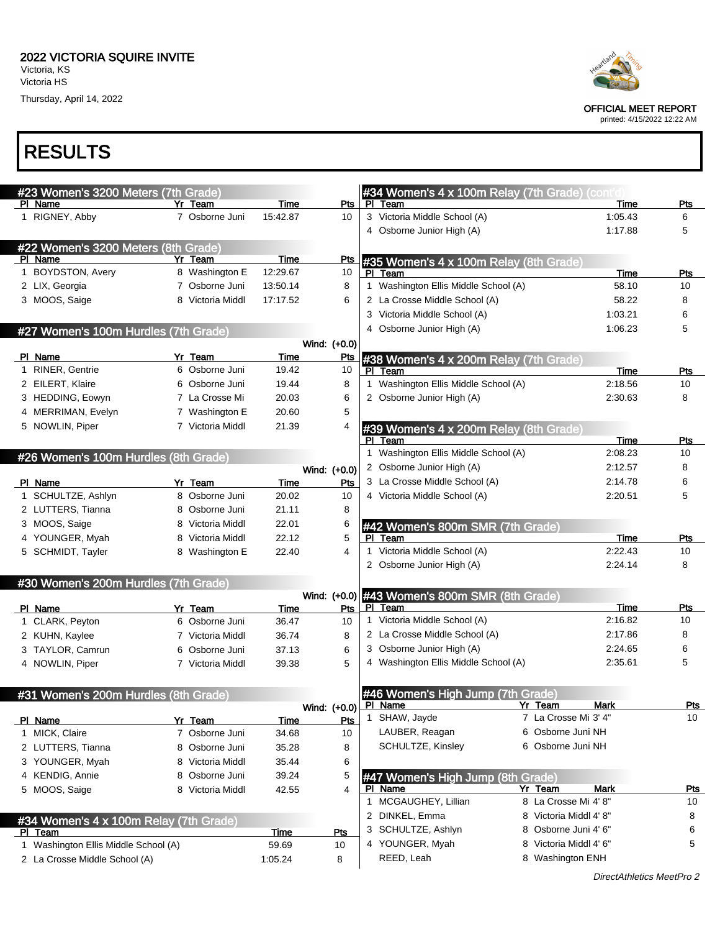Thursday, April 14, 2022



OFFICIAL MEET REPORT

printed: 4/15/2022 12:22 AM

#### RESULTS

| #23 Women's 3200 Meters (7th Grade)    |                  |             |                     |              | #34 Women's 4 x 100m Relay (7th Grade) (cont'd    |                                                |                 |            |
|----------------------------------------|------------------|-------------|---------------------|--------------|---------------------------------------------------|------------------------------------------------|-----------------|------------|
| PI Name                                | Yr Team          | Time        | Pts                 |              | PI Team                                           |                                                | Time            | Pts        |
| 1 RIGNEY, Abby                         | 7 Osborne Juni   | 15:42.87    | 10                  |              | 3 Victoria Middle School (A)                      |                                                | 1:05.43         | 6          |
|                                        |                  |             |                     |              | 4 Osborne Junior High (A)                         |                                                | 1:17.88         | 5          |
| #22 Women's 3200 Meters (8th Grade)    |                  |             |                     |              |                                                   |                                                |                 |            |
| PI Name                                | Yr Team          | <b>Time</b> | <b>Pts</b>          |              | #35 Women's 4 x 100m Relay (8th Grade)            |                                                |                 |            |
| 1 BOYDSTON, Avery                      | 8 Washington E   | 12:29.67    | 10                  |              | PI Team                                           |                                                | Time            | Pts        |
| 2 LIX, Georgia                         | 7 Osborne Juni   | 13:50.14    | 8                   |              | 1 Washington Ellis Middle School (A)              |                                                | 58.10           | 10         |
| 3 MOOS, Saige                          | 8 Victoria Middl | 17:17.52    | 6                   |              | 2 La Crosse Middle School (A)                     |                                                | 58.22           | 8          |
|                                        |                  |             |                     |              | 3 Victoria Middle School (A)                      |                                                | 1:03.21         | 6          |
| #27 Women's 100m Hurdles (7th Grade)   |                  |             |                     |              | 4 Osborne Junior High (A)                         |                                                | 1:06.23         | 5          |
|                                        |                  |             | Wind: (+0.0)        |              |                                                   |                                                |                 |            |
| PI Name                                | Yr Team          | Time        | <u>Pts</u>          |              | #38 Women's 4 x 200m Relay (7th Grade)            |                                                |                 |            |
| RINER, Gentrie                         | 6 Osborne Juni   | 19.42       | 10                  |              | PI Team                                           |                                                | Time            | Pts        |
| 2 EILERT, Klaire                       | 6 Osborne Juni   | 19.44       | 8                   |              | Washington Ellis Middle School (A)                |                                                | 2:18.56         | 10         |
| 3 HEDDING, Eowyn                       | 7 La Crosse Mi   | 20.03       | 6                   |              | 2 Osborne Junior High (A)                         |                                                | 2:30.63         | 8          |
| 4 MERRIMAN, Evelyn                     | 7 Washington E   | 20.60       | 5                   |              |                                                   |                                                |                 |            |
| 5 NOWLIN, Piper                        | 7 Victoria Middl | 21.39       | 4                   |              | #39 Women's 4 x 200m Relay (8th Grade)<br>PI Team |                                                |                 | Pts        |
|                                        |                  |             |                     | 1            | Washington Ellis Middle School (A)                |                                                | Time<br>2:08.23 | 10         |
| #26 Women's 100m Hurdles (8th Grade)   |                  |             |                     |              | 2 Osborne Junior High (A)                         |                                                | 2:12.57         | 8          |
| PI Name                                | Yr Team          | Time        | Wind: (+0.0)<br>Pts |              | 3 La Crosse Middle School (A)                     |                                                | 2:14.78         | 6          |
| 1 SCHULTZE, Ashlyn                     | 8 Osborne Juni   | 20.02       | 10                  |              | 4 Victoria Middle School (A)                      |                                                | 2:20.51         | 5          |
| 2 LUTTERS, Tianna                      | 8 Osborne Juni   | 21.11       | 8                   |              |                                                   |                                                |                 |            |
| 3 MOOS, Saige                          | 8 Victoria Middl | 22.01       | 6                   |              | #42 Women's 800m SMR (7th Grade)                  |                                                |                 |            |
| 4 YOUNGER, Myah                        | 8 Victoria Middl | 22.12       | 5                   |              | PI Team                                           |                                                | Time            | Pts        |
| 5 SCHMIDT, Tayler                      | 8 Washington E   | 22.40       | 4                   | $\mathbf{1}$ | Victoria Middle School (A)                        |                                                | 2:22.43         | 10         |
|                                        |                  |             |                     |              | 2 Osborne Junior High (A)                         |                                                | 2:24.14         | 8          |
| #30 Women's 200m Hurdles (7th Grade)   |                  |             |                     |              |                                                   |                                                |                 |            |
|                                        |                  |             | Wind: (+0.0)        |              | #43 Women's 800m SMR (8th Grade)                  |                                                |                 |            |
| PI Name                                | Yr Team          | Time        | Pts                 |              | PI Team                                           |                                                | Time            | Pts        |
| 1 CLARK, Peyton                        | 6 Osborne Juni   | 36.47       | 10                  |              | 1 Victoria Middle School (A)                      |                                                | 2:16.82         | 10         |
| 2 KUHN, Kaylee                         | 7 Victoria Middl | 36.74       | 8                   |              | 2 La Crosse Middle School (A)                     |                                                | 2:17.86         | 8          |
| 3 TAYLOR, Camrun                       | 6 Osborne Juni   | 37.13       | 6                   |              | 3 Osborne Junior High (A)                         |                                                | 2:24.65         | 6          |
| 4 NOWLIN, Piper                        | 7 Victoria Middl | 39.38       | 5                   |              | 4 Washington Ellis Middle School (A)              |                                                | 2:35.61         | 5          |
|                                        |                  |             |                     |              |                                                   |                                                |                 |            |
| #31 Women's 200m Hurdles (8th Grade)   |                  |             |                     |              | #46 Women's High Jump (7th Grade)                 |                                                |                 |            |
|                                        |                  |             |                     |              | Wind: (+0.0) PI Name                              | Yr Team                                        | Mark            | Pts        |
| PI Name                                | Yr Team          | Time        | Pts                 |              | 1 SHAW, Jayde                                     | 7 La Crosse Mi 3' 4"                           |                 | 10         |
| 1 MICK, Claire                         | 7 Osborne Juni   | 34.68       | 10                  |              | LAUBER, Reagan                                    | 6 Osborne Juni NH                              |                 |            |
| 2 LUTTERS, Tianna                      | 8 Osborne Juni   | 35.28       | 8                   |              | SCHULTZE, Kinsley                                 | 6 Osborne Juni NH                              |                 |            |
| 3 YOUNGER, Myah                        | 8 Victoria Middl | 35.44       | 6                   |              |                                                   |                                                |                 |            |
| 4 KENDIG, Annie                        | 8 Osborne Juni   | 39.24       | 5                   |              | #47 Women's High Jump (8th Grade)                 |                                                |                 |            |
| 5 MOOS, Saige                          | 8 Victoria Middl | 42.55       | 4                   |              | <b>PI</b> Name                                    | Yr Team                                        | <b>Mark</b>     | <u>Pts</u> |
|                                        |                  |             |                     |              | 1 MCGAUGHEY, Lillian                              | 8 La Crosse Mi 4' 8"<br>8 Victoria Middl 4' 8" |                 | 10         |
| #34 Women's 4 x 100m Relay (7th Grade) |                  |             |                     |              | 2 DINKEL, Emma<br>3 SCHULTZE, Ashlyn              | 8 Osborne Juni 4' 6"                           |                 | 8          |
| PI Team                                |                  | <u>Time</u> | Pts                 |              |                                                   | 8 Victoria Middl 4' 6"                         |                 | 6<br>5     |
| 1 Washington Ellis Middle School (A)   |                  | 59.69       | 10                  |              | 4 YOUNGER, Myah<br>REED, Leah                     | 8 Washington ENH                               |                 |            |
| 2 La Crosse Middle School (A)          |                  | 1:05.24     | 8                   |              |                                                   |                                                |                 |            |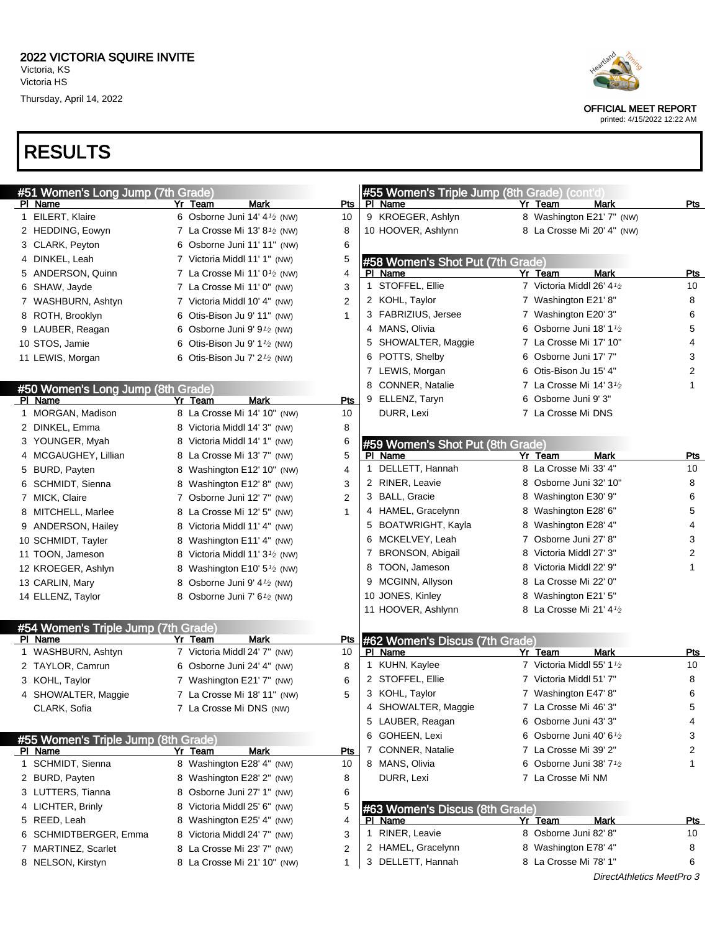

| #51 Women's Long Jump (7th Grade)              |                                                         |             |                  | #55 Women's Triple Jump (8th Grade) (cont'd) |   |                                      |            |
|------------------------------------------------|---------------------------------------------------------|-------------|------------------|----------------------------------------------|---|--------------------------------------|------------|
| PI Name                                        | Yr Team                                                 | <b>Mark</b> | Pts              | PI Name                                      |   | <b>Mark</b><br>Yr Team               | Pts        |
| 1 EILERT, Klaire                               | 6 Osborne Juni 14' 4 <sup>1</sup> / <sub>2</sub> (NW)   |             | 10               | 9 KROEGER, Ashlyn                            |   | 8 Washington E21' 7" (NW)            |            |
| 2 HEDDING, Eowyn                               | 7 La Crosse Mi 13' 8 $\frac{1}{2}$ (NW)                 |             | 8                | 10 HOOVER, Ashlynn                           |   | 8 La Crosse Mi 20' 4" (NW)           |            |
| 3 CLARK, Peyton                                | 6 Osborne Juni 11' 11" (NW)                             |             | 6                |                                              |   |                                      |            |
| 4 DINKEL, Leah                                 | 7 Victoria Middl 11' 1" (NW)                            |             | 5                | #58 Women's Shot Put (7th Grade)             |   |                                      |            |
| 5 ANDERSON, Quinn                              | 7 La Crosse Mi 11' 0 <sup>1</sup> /2 (NW)               |             | 4<br>PI.         | Name                                         |   | <b>Mark</b><br>Yr Team               | <b>Pts</b> |
| 6 SHAW, Jayde                                  | 7 La Crosse Mi 11' 0" (NW)                              |             | 3                | 1 STOFFEL, Ellie                             |   | 7 Victoria Middl 26' 41/2            | 10         |
| 7 WASHBURN, Ashtyn                             | 7 Victoria Middl 10' 4" (NW)                            |             | 2                | 2 KOHL, Taylor                               |   | 7 Washington E21' 8"                 | 8          |
| 8 ROTH, Brooklyn                               | 6 Otis-Bison Ju 9' 11" (NW)                             |             | 1                | 3 FABRIZIUS, Jersee                          |   | 7 Washington E20' 3"                 | 6          |
| 9 LAUBER, Reagan                               | 6 Osborne Juni 9' $91$ / <sub>2</sub> (NW)              |             |                  | 4 MANS, Olivia                               |   | 6 Osborne Juni 18' 11/2              | 5          |
| 10 STOS, Jamie                                 | 6 Otis-Bison Ju 9' $1\frac{1}{2}$ (NW)                  |             |                  | 5 SHOWALTER, Maggie                          |   | 7 La Crosse Mi 17' 10"               | 4          |
| 11 LEWIS, Morgan                               | 6 Otis-Bison Ju 7' $2\frac{1}{2}$ (NW)                  |             |                  | 6 POTTS, Shelby                              |   | 6 Osborne Juni 17' 7"                | 3          |
|                                                |                                                         |             |                  | 7 LEWIS, Morgan                              |   | 6 Otis-Bison Ju 15' 4"               | 2          |
| #50 Women's Long Jump (8th Grade)              |                                                         |             |                  | 8 CONNER, Natalie                            |   | 7 La Crosse Mi 14' $3\frac{1}{2}$    | 1          |
| PI Name                                        | Yr Team                                                 | <b>Mark</b> | <b>Pts</b>       | 9 ELLENZ, Taryn                              |   | 6 Osborne Juni 9' 3"                 |            |
| 1 MORGAN, Madison                              | 8 La Crosse Mi 14' 10" (NW)                             |             | 10               | DURR, Lexi                                   |   | 7 La Crosse Mi DNS                   |            |
| 2 DINKEL, Emma                                 | 8 Victoria Middl 14' 3" (NW)                            |             | 8                |                                              |   |                                      |            |
| 3 YOUNGER, Myah                                | 8 Victoria Middl 14' 1" (NW)                            |             | 6                | #59 Women's Shot Put (8th Grade)             |   |                                      |            |
| 4 MCGAUGHEY, Lillian                           | 8 La Crosse Mi 13' 7" (NW)                              |             | 5                | PI Name                                      |   | Yr Team<br>Mark                      | Pts        |
| 5 BURD, Payten                                 | 8 Washington E12' 10" (NW)                              |             | 4                | 1 DELLETT, Hannah                            |   | 8 La Crosse Mi 33' 4"                | 10         |
| 6 SCHMIDT, Sienna                              | 8 Washington E12' 8" (NW)                               |             | 3                | 2 RINER, Leavie                              |   | 8 Osborne Juni 32' 10"               | 8          |
| 7 MICK, Claire                                 | 7 Osborne Juni 12' 7" (NW)                              |             | $\overline{2}$   | 3 BALL, Gracie                               |   | 8 Washington E30' 9"                 | 6          |
| 8 MITCHELL, Marlee                             | 8 La Crosse Mi 12' 5" (NW)                              |             | 1                | 4 HAMEL, Gracelynn                           |   | 8 Washington E28' 6"                 | 5          |
| 9 ANDERSON, Hailey                             | 8 Victoria Middl 11' 4" (NW)                            |             |                  | 5 BOATWRIGHT, Kayla                          |   | 8 Washington E28' 4"                 | 4          |
| 10 SCHMIDT, Tayler                             | 8 Washington E11' 4" (NW)                               |             |                  | 6 MCKELVEY, Leah                             |   | 7 Osborne Juni 27' 8"                | 3          |
| 11 TOON, Jameson                               | 8 Victoria Middl 11' 3 <sup>1</sup> / <sub>2</sub> (NW) |             |                  | 7 BRONSON, Abigail                           | 8 | Victoria Middl 27' 3"                | 2          |
| 12 KROEGER, Ashlyn                             | 8 Washington E10' 5 <sup>1</sup> / <sub>2</sub> (NW)    |             |                  | 8 TOON, Jameson                              | 8 | Victoria Middl 22' 9"                | 1          |
| 13 CARLIN, Mary                                | Osborne Juni 9' 4 <sup>1</sup> / <sub>2</sub> (NW)<br>8 |             |                  | 9 MCGINN, Allyson                            |   | 8 La Crosse Mi 22' 0"                |            |
| 14 ELLENZ, Taylor                              | Osborne Juni 7' 6 <sup>1/2</sup> (NW)<br>8              |             |                  | 10 JONES, Kinley                             |   | 8 Washington E21' 5"                 |            |
|                                                |                                                         |             |                  | 11 HOOVER, Ashlynn                           |   | 8 La Crosse Mi 21' 41⁄2              |            |
|                                                |                                                         |             |                  |                                              |   |                                      |            |
| #54 Women's Triple Jump (7th Grade)<br>PI Name | Yr Team                                                 | Mark        |                  |                                              |   |                                      |            |
| 1 WASHBURN, Ashtyn                             | 7 Victoria Middl 24' 7" (NW)                            |             | <u>Pts</u><br>10 | #62 Women's Discus (7th Grade)<br>PI Name    |   | Yr Team<br>Mark                      | Pts        |
| 2 TAYLOR, Camrun                               | 6 Osborne Juni 24' 4" (NW)                              |             | 8                | 1 KUHN, Kaylee                               |   | 7 Victoria Middl 55' 11/2            | 10         |
|                                                |                                                         |             |                  | 2 STOFFEL, Ellie                             |   | 7 Victoria Middl 51' 7"              | 8          |
| 3 KOHL, Taylor                                 | 7 Washington E21' 7" (NW)                               |             | 6                | 3 KOHL, Taylor                               |   | 7 Washington E47' 8"                 | 6          |
| 4 SHOWALTER, Maggie                            | 7 La Crosse Mi 18' 11" (NW)                             |             | 5                |                                              |   |                                      |            |
| CLARK, Sofia                                   | 7 La Crosse Mi DNS (NW)                                 |             |                  | 4 SHOWALTER, Maggie                          |   | 7 La Crosse Mi 46' 3"                | 5          |
|                                                |                                                         |             |                  | 5 LAUBER, Reagan                             |   | 6 Osborne Juni 43' 3"                | 4          |
| #55 Women's Triple Jump (8th Grade)            |                                                         |             |                  | 6 GOHEEN, Lexi                               |   | 6 Osborne Juni 40' 61/2              | 3          |
| PI Name                                        | Yr Team                                                 | Mark        | Pts              | 7 CONNER, Natalie                            |   | 7 La Crosse Mi 39' 2"                | 2          |
| 1 SCHMIDT, Sienna                              | 8 Washington E28' 4" (NW)                               |             | 10               | 8 MANS, Olivia                               |   | 6 Osborne Juni 38' 7 <sup>1</sup> /2 | 1          |
| 2 BURD, Payten                                 | 8 Washington E28' 2" (NW)                               |             | 8                | DURR, Lexi                                   |   | 7 La Crosse Mi NM                    |            |
| 3 LUTTERS, Tianna                              | Osborne Juni 27' 1" (NW)<br>8                           |             | 6                |                                              |   |                                      |            |
| 4 LICHTER, Brinly                              | 8 Victoria Middl 25' 6" (NW)                            |             | 5                | #63 Women's Discus (8th Grade)               |   |                                      |            |
| 5 REED, Leah                                   | 8 Washington E25' 4" (NW)                               |             | 4                | PI Name                                      |   | Yr Team<br><b>Mark</b>               | <u>Pts</u> |
| 6 SCHMIDTBERGER, Emma                          | 8 Victoria Middl 24' 7" (NW)                            |             | 1<br>3           | RINER, Leavie                                |   | 8 Osborne Juni 82' 8"                | 10         |
| 7 MARTINEZ, Scarlet                            | La Crosse Mi 23' 7" (NW)<br>8                           |             | 2                | 2 HAMEL, Gracelynn                           |   | 8 Washington E78' 4"                 | 8          |
| 8 NELSON, Kirstyn                              | 8 La Crosse Mi 21' 10" (NW)                             |             | 1                | 3 DELLETT, Hannah                            |   | 8 La Crosse Mi 78' 1"                | 6          |



OFFICIAL MEET REPORT printed: 4/15/2022 12:22 AM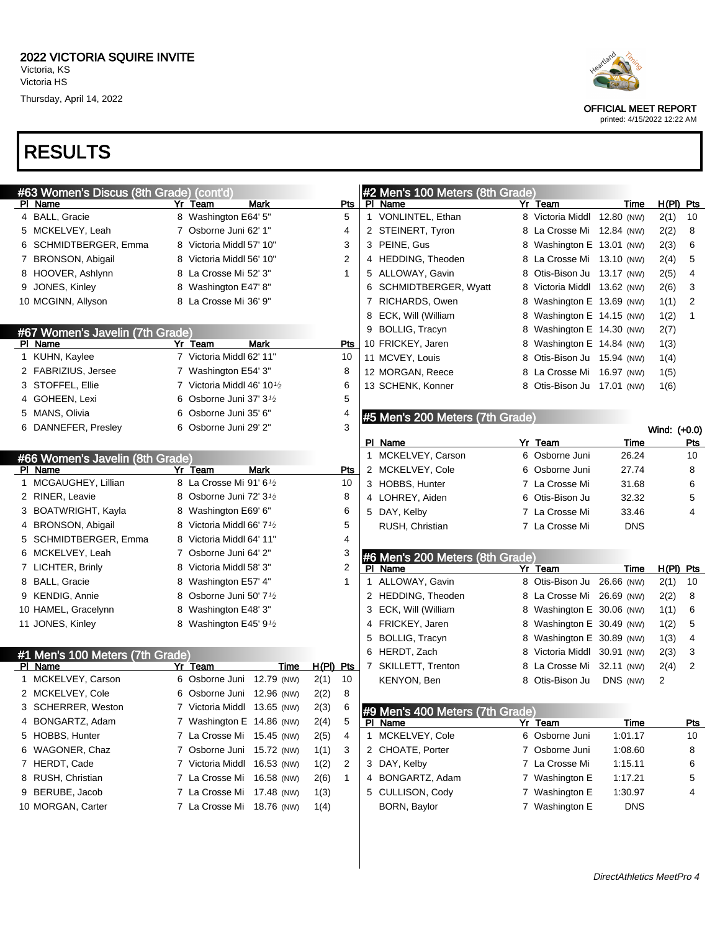# RESULTS

| #63 Women's Discus (8th Grade) (cont'd) |   |                                       |      |             |                |   | #2 Men's 100 Meters (8th Grade) |                             |             |              |            |
|-----------------------------------------|---|---------------------------------------|------|-------------|----------------|---|---------------------------------|-----------------------------|-------------|--------------|------------|
| PI Name                                 |   | Yr Team                               | Mark |             | Pts            |   | PI Name                         | Yr Team                     | Time        | $H(PI)$ Pts  |            |
| 4 BALL, Gracie                          |   | 8 Washington E64' 5"                  |      |             | 5              |   | 1 VONLINTEL, Ethan              | 8 Victoria Middl 12.80 (NW) |             | 2(1)         | 10         |
| 5 MCKELVEY, Leah                        |   | 7 Osborne Juni 62' 1"                 |      |             | 4              |   | 2 STEINERT, Tyron               | 8 La Crosse Mi 12.84 (NW)   |             | 2(2)         | 8          |
| 6 SCHMIDTBERGER, Emma                   |   | 8 Victoria Middl 57' 10"              |      |             | 3              |   | 3 PEINE, Gus                    | 8 Washington E 13.01 (NW)   |             | 2(3)         | 6          |
| 7 BRONSON, Abigail                      |   | 8 Victoria Middl 56' 10"              |      |             | 2              |   | 4 HEDDING, Theoden              | 8 La Crosse Mi 13.10 (NW)   |             | 2(4)         | 5          |
| 8 HOOVER, Ashlynn                       | 8 | La Crosse Mi 52' 3"                   |      |             | $\mathbf 1$    | 5 | ALLOWAY, Gavin                  | 8 Otis-Bison Ju 13.17 (NW)  |             | 2(5)         | 4          |
| 9 JONES, Kinley                         |   | 8 Washington E47' 8"                  |      |             |                | 6 | SCHMIDTBERGER, Wyatt            | 8 Victoria Middl 13.62 (NW) |             | 2(6)         | 3          |
| 10 MCGINN, Allyson                      |   | 8 La Crosse Mi 36' 9"                 |      |             |                | 7 | RICHARDS, Owen                  | 8 Washington E 13.69 (NW)   |             | 1(1)         | 2          |
|                                         |   |                                       |      |             |                | 8 | ECK, Will (William              | 8 Washington E 14.15 (NW)   |             | 1(2)         | 1          |
| #67 Women's Javelin (7th Grade)         |   |                                       |      |             |                |   | 9 BOLLIG, Tracyn                | 8 Washington E 14.30 (NW)   |             | 2(7)         |            |
| PI Name                                 |   | Yr Team                               | Mark |             | Pts            |   | 10 FRICKEY, Jaren               | 8 Washington E 14.84 (NW)   |             | 1(3)         |            |
| 1 KUHN, Kaylee                          |   | 7 Victoria Middl 62' 11"              |      |             | 10             |   | 11 MCVEY, Louis                 | 8 Otis-Bison Ju 15.94 (NW)  |             | 1(4)         |            |
| 2 FABRIZIUS, Jersee                     |   | 7 Washington E54' 3"                  |      |             | 8              |   | 12 MORGAN, Reece                | 8 La Crosse Mi 16.97 (NW)   |             | 1(5)         |            |
| 3 STOFFEL, Ellie                        |   | 7 Victoria Middl 46' 10 $\frac{1}{2}$ |      |             | 6              |   | 13 SCHENK, Konner               | 8 Otis-Bison Ju 17.01 (NW)  |             | 1(6)         |            |
| 4 GOHEEN, Lexi                          | 6 | Osborne Juni 37' 3 <sup>1</sup> /2    |      |             | 5              |   |                                 |                             |             |              |            |
| 5 MANS, Olivia                          | 6 | Osborne Juni 35' 6"                   |      |             | 4              |   | #5 Men's 200 Meters (7th Grade) |                             |             |              |            |
| 6 DANNEFER, Presley                     | 6 | Osborne Juni 29' 2"                   |      |             | 3              |   |                                 |                             |             | Wind: (+0.0) |            |
|                                         |   |                                       |      |             |                |   | PI Name                         | Yr Team                     | Time        |              | Pts        |
| #66 Women's Javelin (8th Grade)         |   |                                       |      |             |                |   | 1 MCKELVEY, Carson              | 6 Osborne Juni              | 26.24       |              | 10         |
| PI Name                                 |   | Yr Team                               | Mark |             | Pts            |   | 2 MCKELVEY, Cole                | 6 Osborne Juni              | 27.74       |              | 8          |
| 1 MCGAUGHEY, Lillian                    |   | 8 La Crosse Mi 91' 61/2               |      |             | 10             |   | 3 HOBBS, Hunter                 | 7 La Crosse Mi              | 31.68       |              | 6          |
| 2 RINER, Leavie                         | 8 | Osborne Juni 72' 3 <sup>1</sup> /2    |      |             | 8              |   | 4 LOHREY, Aiden                 | 6 Otis-Bison Ju             | 32.32       |              | 5          |
| 3 BOATWRIGHT, Kayla                     | 8 | Washington E69' 6"                    |      |             | 6              |   | 5 DAY, Kelby                    | 7 La Crosse Mi              | 33.46       |              | 4          |
| 4 BRONSON, Abigail                      | 8 | Victoria Middl 66' 7 <sup>1</sup> /2  |      |             | 5              |   | RUSH, Christian                 | 7 La Crosse Mi              | <b>DNS</b>  |              |            |
| 5 SCHMIDTBERGER, Emma                   | 8 | Victoria Middl 64' 11"                |      |             | 4              |   |                                 |                             |             |              |            |
| 6 MCKELVEY, Leah                        | 7 | Osborne Juni 64' 2"                   |      |             | 3              |   | #6 Men's 200 Meters (8th Grade) |                             |             |              |            |
| 7 LICHTER, Brinly                       | 8 | Victoria Middl 58' 3"                 |      |             | $\overline{2}$ |   | PI Name                         | Yr Team                     | Time        | $H(PI)$ Pts  |            |
| 8 BALL, Gracie                          | 8 | Washington E57' 4"                    |      |             | 1              | 1 | ALLOWAY, Gavin                  | 8 Otis-Bison Ju             | 26.66 (NW)  | 2(1)         | 10         |
| 9 KENDIG, Annie                         | 8 | Osborne Juni 50' 7 <sup>1</sup> /2    |      |             |                |   | 2 HEDDING, Theoden              | 8 La Crosse Mi              | 26.69 (NW)  | 2(2)         | 8          |
| 10 HAMEL, Gracelynn                     | 8 | Washington E48' 3"                    |      |             |                | 3 | ECK, Will (William              | 8 Washington E 30.06 (NW)   |             | 1(1)         | 6          |
| 11 JONES, Kinley                        |   | 8 Washington E45' 9 $\frac{1}{2}$     |      |             |                | 4 | FRICKEY, Jaren                  | 8 Washington E 30.49 (NW)   |             | 1(2)         | 5          |
|                                         |   |                                       |      |             |                | 5 | <b>BOLLIG, Tracyn</b>           | 8 Washington E 30.89 (NW)   |             | 1(3)         | 4          |
| #1 Men's 100 Meters (7th Grade)         |   |                                       |      |             |                |   | 6 HERDT, Zach                   | 8 Victoria Middl 30.91 (NW) |             | 2(3)         | 3          |
| PI Name                                 |   | Yr Team                               | Time | $H(PI)$ Pts |                |   | 7 SKILLETT, Trenton             | 8 La Crosse Mi              | 32.11 (NW)  | 2(4)         | 2          |
| 1 MCKELVEY, Carson                      |   | 6 Osborne Juni 12.79 (NW)             |      | 2(1)        | 10             |   | KENYON, Ben                     | 8 Otis-Bison Ju             | DNS (NW)    | 2            |            |
| 2 MCKELVEY, Cole                        |   | 6 Osborne Juni 12.96 (NW)             |      | 2(2)        | 8              |   |                                 |                             |             |              |            |
| 3 SCHERRER, Weston                      |   | 7 Victoria Middl 13.65 (NW)           |      | 2(3)        | 6              |   | #9 Men's 400 Meters (7th Grade) |                             |             |              |            |
| 4 BONGARTZ, Adam                        |   | 7 Washington E 14.86 (NW)             |      | 2(4)        | 5              |   | <b>PI Name</b>                  | Yr Team                     | <b>Time</b> |              | <u>Pts</u> |
| 5 HOBBS, Hunter                         |   | 7 La Crosse Mi 15.45 (NW)             |      | 2(5)        | 4              |   | 1 MCKELVEY, Cole                | 6 Osborne Juni              | 1:01.17     |              | 10         |
| 6 WAGONER, Chaz                         |   | 7 Osborne Juni 15.72 (NW)             |      | 1(1)        | 3              |   | 2 CHOATE, Porter                | 7 Osborne Juni              | 1:08.60     |              | 8          |
| 7 HERDT, Cade                           |   | 7 Victoria Middl 16.53 (NW)           |      | 1(2)        | 2              |   | 3 DAY, Kelby                    | 7 La Crosse Mi              | 1:15.11     |              | 6          |
| 8 RUSH, Christian                       |   | 7 La Crosse Mi 16.58 (NW)             |      | 2(6)        | 1              |   | 4 BONGARTZ, Adam                | 7 Washington E              | 1:17.21     |              | 5          |
| 9 BERUBE, Jacob                         |   | 7 La Crosse Mi 17.48 (NW)             |      | 1(3)        |                |   | 5 CULLISON, Cody                | 7 Washington E              | 1:30.97     |              | 4          |
| 10 MORGAN, Carter                       |   | 7 La Crosse Mi 18.76 (NW)             |      | 1(4)        |                |   | BORN, Baylor                    | 7 Washington E              | <b>DNS</b>  |              |            |
|                                         |   |                                       |      |             |                |   |                                 |                             |             |              |            |
|                                         |   |                                       |      |             |                |   |                                 |                             |             |              |            |



OFFICIAL MEET REPORT

printed: 4/15/2022 12:22 AM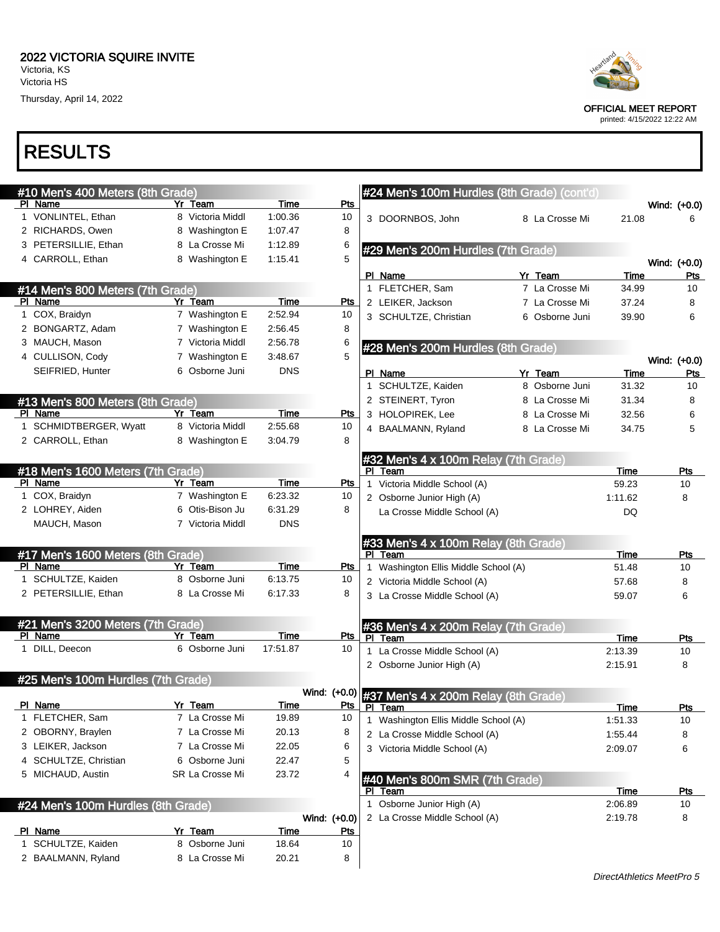## RESULTS

| #10 Men's 400 Meters (8th Grade)   |                           |                         |              |   | #24 Men's 100m Hurdles (8th Grade) (cont'd)                         |                |         |                  |
|------------------------------------|---------------------------|-------------------------|--------------|---|---------------------------------------------------------------------|----------------|---------|------------------|
| PI Name                            | Yr Team                   | Time                    | Pts          |   |                                                                     |                |         | Wind: (+0.0)     |
| 1 VONLINTEL, Ethan                 | 8 Victoria Middl          | 1:00.36                 | 10           |   | 3 DOORNBOS, John                                                    | 8 La Crosse Mi | 21.08   | 6                |
| 2 RICHARDS, Owen                   | 8 Washington E            | 1:07.47                 | 8            |   |                                                                     |                |         |                  |
| 3 PETERSILLIE, Ethan               | 8 La Crosse Mi            | 1:12.89                 | 6            |   | #29 Men's 200m Hurdles (7th Grade)                                  |                |         |                  |
| 4 CARROLL, Ethan                   | 8 Washington E            | 1:15.41                 | 5            |   |                                                                     |                |         | Wind: (+0.0)     |
|                                    |                           |                         |              |   | PI Name                                                             | Yr Team        | Time    | Pts              |
| #14 Men's 800 Meters (7th Grade)   |                           |                         |              |   | 1 FLETCHER, Sam                                                     | 7 La Crosse Mi | 34.99   | 10               |
| PI Name                            | Yr Team                   | <b>Time</b>             | <b>Pts</b>   |   | 2 LEIKER, Jackson                                                   | 7 La Crosse Mi | 37.24   | 8                |
| 1 COX, Braidyn                     | 7 Washington E            | 2:52.94                 | 10           |   | 3 SCHULTZE, Christian                                               | 6 Osborne Juni | 39.90   | 6                |
| 2 BONGARTZ, Adam                   | 7 Washington E            | 2:56.45                 | 8            |   |                                                                     |                |         |                  |
| 3 MAUCH, Mason                     | 7 Victoria Middl          | 2:56.78                 | 6            |   | #28 Men's 200m Hurdles (8th Grade)                                  |                |         |                  |
| 4 CULLISON, Cody                   | 7 Washington E            | 3:48.67                 | 5            |   |                                                                     |                |         | Wind: (+0.0)     |
| SEIFRIED, Hunter                   | 6 Osborne Juni            | <b>DNS</b>              |              |   | PI Name                                                             | Yr Team        | Time    | Pts              |
|                                    |                           |                         |              |   | 1 SCHULTZE, Kaiden                                                  | 8 Osborne Juni | 31.32   | 10               |
| #13 Men's 800 Meters (8th Grade)   |                           |                         |              |   | 2 STEINERT, Tyron                                                   | 8 La Crosse Mi | 31.34   | 8                |
| PI Name                            | Yr Team                   | Time                    | <b>Pts</b>   |   | 3 HOLOPIREK, Lee                                                    | 8 La Crosse Mi | 32.56   | 6                |
| 1 SCHMIDTBERGER, Wyatt             | 8 Victoria Middl          | 2:55.68                 | 10           |   | 4 BAALMANN, Ryland                                                  | 8 La Crosse Mi | 34.75   | 5                |
| 2 CARROLL, Ethan                   | 8 Washington E            | 3:04.79                 | 8            |   |                                                                     |                |         |                  |
|                                    |                           |                         |              |   | #32 Men's 4 x 100m Relay (7th Grade)                                |                |         |                  |
| #18 Men's 1600 Meters (7th Grade)  |                           |                         |              |   | PI Team                                                             |                | Time    | <b>Pts</b>       |
| PI Name                            | Yr Team                   | Time                    | Pts          | 1 | Victoria Middle School (A)                                          |                | 59.23   | 10               |
| 1 COX, Braidyn                     | 7 Washington E            | 6:23.32                 | 10           |   | 2 Osborne Junior High (A)                                           |                | 1:11.62 | 8                |
| 2 LOHREY, Aiden                    | 6 Otis-Bison Ju           | 6:31.29                 | 8            |   | La Crosse Middle School (A)                                         |                | DQ      |                  |
| MAUCH, Mason                       | 7 Victoria Middl          | <b>DNS</b>              |              |   |                                                                     |                |         |                  |
|                                    |                           |                         |              |   | #33 Men's 4 x 100m Relay (8th Grade)                                |                |         |                  |
| #17 Men's 1600 Meters (8th Grade)  |                           |                         |              |   | PI Team                                                             |                | Time    | Pts              |
| PI Name                            | Yr Team                   | <b>Time</b>             | <u>Pts</u>   |   | Washington Ellis Middle School (A)                                  |                | 51.48   | 10               |
| 1 SCHULTZE, Kaiden                 | 8 Osborne Juni            | 6:13.75                 | 10           |   | 2 Victoria Middle School (A)                                        |                | 57.68   | 8                |
| 2 PETERSILLIE, Ethan               | 8 La Crosse Mi            | 6:17.33                 | 8            |   | 3 La Crosse Middle School (A)                                       |                | 59.07   | 6                |
|                                    |                           |                         |              |   |                                                                     |                |         |                  |
| #21 Men's 3200 Meters (7th Grade)  |                           |                         |              |   | #36 Men's 4 x 200m Relay (7th Grade)                                |                |         |                  |
| PI Name<br>1 DILL, Deecon          | Yr Team<br>6 Osborne Juni | <b>Time</b><br>17:51.87 | Pts<br>10    |   | PI Team                                                             |                | Time    | Pts              |
|                                    |                           |                         |              |   | 1 La Crosse Middle School (A)                                       |                | 2:13.39 | 10               |
|                                    |                           |                         |              |   | 2 Osborne Junior High (A)                                           |                | 2:15.91 | 8                |
| #25 Men's 100m Hurdles (7th Grade) |                           |                         |              |   |                                                                     |                |         |                  |
| PI Name                            | Yr Team                   | Time                    |              |   | Wind: (+0.0) #37 Men's 4 x 200m Relay (8th Grade)                   |                |         |                  |
| 1 FLETCHER, Sam                    | 7 La Crosse Mi            | 19.89                   | 10           |   | Pts   PI Team                                                       |                | Time    | <u>Pts</u><br>10 |
| 2 OBORNY, Braylen                  | 7 La Crosse Mi            | 20.13                   | 8            | 1 | Washington Ellis Middle School (A)<br>2 La Crosse Middle School (A) |                | 1:51.33 |                  |
| 3 LEIKER, Jackson                  | 7 La Crosse Mi            | 22.05                   | 6            |   | 3 Victoria Middle School (A)                                        |                | 1:55.44 | 8                |
| 4 SCHULTZE, Christian              | 6 Osborne Juni            | 22.47                   | 5            |   |                                                                     |                | 2:09.07 | 6                |
| 5 MICHAUD, Austin                  | SR La Crosse Mi           | 23.72                   | 4            |   |                                                                     |                |         |                  |
|                                    |                           |                         |              |   | #40 Men's 800m SMR (7th Grade)<br>PI Team                           |                | Time    |                  |
|                                    |                           |                         |              |   | 1 Osborne Junior High (A)                                           |                | 2:06.89 | <u>Pts</u><br>10 |
| #24 Men's 100m Hurdles (8th Grade) |                           |                         | Wind: (+0.0) |   | 2 La Crosse Middle School (A)                                       |                | 2:19.78 | 8                |
| PI Name                            | Yr Team                   | <b>Time</b>             | <u>Pts</u>   |   |                                                                     |                |         |                  |
| 1 SCHULTZE, Kaiden                 | 8 Osborne Juni            | 18.64                   | 10           |   |                                                                     |                |         |                  |
| 2 BAALMANN, Ryland                 | 8 La Crosse Mi            | 20.21                   | 8            |   |                                                                     |                |         |                  |
|                                    |                           |                         |              |   |                                                                     |                |         |                  |



OFFICIAL MEET REPORT

printed: 4/15/2022 12:22 AM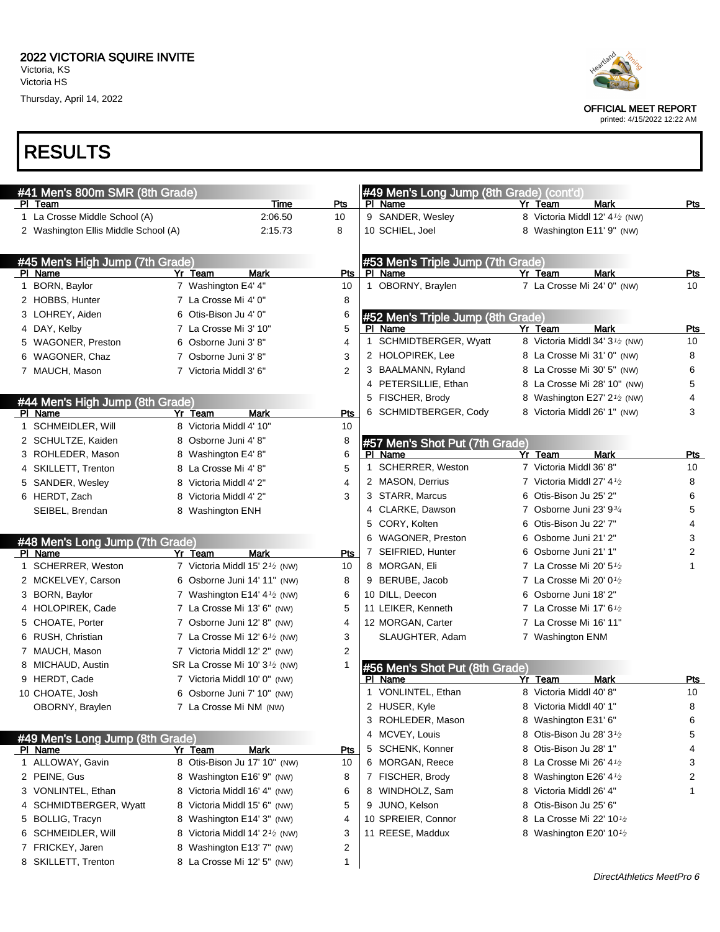Thursday, April 14, 2022

## RESULTS

6 SCHMEIDLER, Will  $\begin{array}{ccc} 8 \text{ Victoria Middle 14'} & 2 \frac{1}{2} \text{ (NW)} \\ 3 \end{array}$ 7 FRICKEY, Jaren 8 Washington E13' 7" (NW) 2 8 SKILLETT, Trenton 8 La Crosse Mi 12' 5" (NW) 1

| #41 Men's 800m SMR (8th Grade)       |                                                         |                | #49 Men's Long Jump (8th Grade) (cont'd) |                                                          |                |
|--------------------------------------|---------------------------------------------------------|----------------|------------------------------------------|----------------------------------------------------------|----------------|
| PI Team                              | Time                                                    | Pts            | PI Name                                  | <b>Mark</b><br>Yr Team                                   | Pts            |
| 1 La Crosse Middle School (A)        | 2:06.50                                                 | 10             | 9 SANDER, Wesley                         | 8 Victoria Middl 12' 4 <sup>1</sup> / <sub>2</sub> (NW)  |                |
| 2 Washington Ellis Middle School (A) | 2:15.73                                                 | 8              | 10 SCHIEL, Joel                          | 8 Washington E11' 9" (NW)                                |                |
| #45 Men's High Jump (7th Grade)      |                                                         |                | #53 Men's Triple Jump (7th Grade)        |                                                          |                |
| PI Name                              | Yr Team<br><b>Mark</b>                                  | Pts            | PI Name                                  | Yr Team<br><b>Mark</b>                                   | Pts            |
| 1 BORN, Baylor                       | 7 Washington E4' 4"                                     | 10             | 1 OBORNY, Braylen                        | 7 La Crosse Mi 24' 0" (NW)                               | 10             |
| 2 HOBBS, Hunter                      | 7 La Crosse Mi 4' 0"                                    | 8              |                                          |                                                          |                |
| 3 LOHREY, Aiden                      | 6 Otis-Bison Ju 4' 0"                                   | 6              | #52 Men's Triple Jump (8th Grade)        |                                                          |                |
| 4 DAY, Kelby                         | 7 La Crosse Mi 3' 10"                                   | 5              | PI Name                                  | <b>Mark</b><br>Yr Team<br>8 Victoria Middl 34' 31/2 (NW) | Pts            |
| 5 WAGONER, Preston                   | 6 Osborne Juni 3' 8"                                    | 4              | 1 SCHMIDTBERGER, Wyatt                   |                                                          | 10             |
| 6 WAGONER, Chaz                      | 7 Osborne Juni 3' 8"                                    | 3              | 2 HOLOPIREK, Lee                         | 8 La Crosse Mi 31' 0" (NW)                               | 8              |
| 7 MAUCH, Mason                       | 7 Victoria Middl 3' 6"                                  | $\overline{2}$ | 3 BAALMANN, Ryland                       | 8 La Crosse Mi 30' 5" (NW)                               | 6              |
|                                      |                                                         |                | 4 PETERSILLIE, Ethan                     | La Crosse Mi 28' 10" (NW)<br>8                           | 5              |
| #44 Men's High Jump (8th Grade)      |                                                         |                | 5 FISCHER, Brody                         | Washington E27' 2 <sup>1</sup> / <sub>2</sub> (NW)<br>8  | 4              |
| PI Name                              | Yr Team<br>Mark                                         | Pts            | 6 SCHMIDTBERGER, Cody                    | 8 Victoria Middl 26' 1" (NW)                             | 3              |
| 1 SCHMEIDLER, Will                   | 8 Victoria Middl 4' 10"                                 | 10             |                                          |                                                          |                |
| 2 SCHULTZE, Kaiden                   | 8 Osborne Juni 4' 8"                                    | 8              | #57 Men's Shot Put (7th Grade)           |                                                          |                |
| 3 ROHLEDER, Mason                    | 8 Washington E4' 8"                                     | 6              | PI Name                                  | Yr Team<br><b>Mark</b>                                   | Pts            |
| 4 SKILLETT, Trenton                  | 8 La Crosse Mi 4'8"                                     | 5              | 1 SCHERRER, Weston                       | 7 Victoria Middl 36' 8"                                  | 10             |
| 5 SANDER, Wesley                     | 8 Victoria Middl 4' 2"                                  | 4              | 2 MASON, Derrius                         | 7 Victoria Middl 27' 4 <sup>1</sup> /2                   | 8              |
| 6 HERDT, Zach                        | 8 Victoria Middl 4' 2"                                  | 3              | 3 STARR, Marcus                          | 6 Otis-Bison Ju 25' 2"                                   | 6              |
| SEIBEL, Brendan                      | 8 Washington ENH                                        |                | 4 CLARKE, Dawson                         | 7 Osborne Juni 23' 93/4                                  | 5              |
|                                      |                                                         |                | 5 CORY, Kolten                           | 6 Otis-Bison Ju 22' 7"                                   | 4              |
| #48 Men's Long Jump (7th Grade)      |                                                         |                | 6 WAGONER, Preston                       | Osborne Juni 21' 2"<br>6                                 | 3              |
| PI Name                              | <b>Mark</b><br>Yr Team                                  | Pts            | 7 SEIFRIED, Hunter                       | Osborne Juni 21' 1"<br>6                                 | $\overline{2}$ |
| 1 SCHERRER, Weston                   | 7 Victoria Middl 15' 2 <sup>1</sup> / <sub>2</sub> (NW) | 10             | 8 MORGAN, Eli                            | 7 La Crosse Mi 20' 5 <sup>1</sup> /2                     | 1              |
| 2 MCKELVEY, Carson                   | 6 Osborne Juni 14' 11" (NW)                             | 8              | 9 BERUBE, Jacob                          | 7 La Crosse Mi 20' 0 <sup>1</sup> /2                     |                |
| 3 BORN, Baylor                       | 7 Washington E14' $4\frac{1}{2}$ (NW)                   | 6              | 10 DILL, Deecon                          | 6 Osborne Juni 18' 2"                                    |                |
| 4 HOLOPIREK, Cade                    | 7 La Crosse Mi 13' 6" (NW)                              | 5              | 11 LEIKER, Kenneth                       | 7 La Crosse Mi 17' 6 <sup>1</sup> /2                     |                |
| 5 CHOATE, Porter                     | 7 Osborne Juni 12' 8" (NW)                              | 4              | 12 MORGAN, Carter                        | 7 La Crosse Mi 16' 11"                                   |                |
| 6 RUSH, Christian                    | 7 La Crosse Mi 12' $6\frac{1}{2}$ (NW)                  | 3              | SLAUGHTER, Adam                          | 7 Washington ENM                                         |                |
| 7 MAUCH, Mason                       | 7 Victoria Middl 12' 2" (NW)                            | 2              |                                          |                                                          |                |
| 8 MICHAUD, Austin                    | SR La Crosse Mi 10' 3 <sup>1</sup> / <sub>2</sub> (NW)  | -1             | #56 Men's Shot Put (8th Grade)           |                                                          |                |
| 9 HERDT, Cade                        | 7 Victoria Middl 10' 0" (NW)                            |                | PI Name                                  | <b>Mark</b><br>Yr<br><u>Team</u>                         | <u>Pts</u>     |
| 10 CHOATE, Josh                      | 6 Osborne Juni 7' 10" (NW)                              |                | 1 VONLINTEL, Ethan                       | 8 Victoria Middl 40' 8"                                  | 10             |
| OBORNY, Braylen                      | 7 La Crosse Mi NM (NW)                                  |                | 2 HUSER, Kyle                            | Victoria Middl 40' 1"<br>8                               | 8              |
|                                      |                                                         |                | 3 ROHLEDER, Mason                        | 8 Washington E31' 6"                                     | 6              |
| #49 Men's Long Jump (8th Grade)      |                                                         |                | 4 MCVEY, Louis                           | Otis-Bison Ju 28' 3 <sup>1</sup> /2<br>8                 | 5              |
| PI Name                              | Mark<br>Yr Team                                         | <b>Pts</b>     | 5 SCHENK, Konner                         | Otis-Bison Ju 28' 1"<br>8                                | 4              |
| 1 ALLOWAY, Gavin                     | 8 Otis-Bison Ju 17' 10" (NW)                            | 10             | 6 MORGAN, Reece                          | La Crosse Mi 26' 41/2<br>8                               | 3              |
| 2 PEINE, Gus                         | 8 Washington E16' 9" (NW)                               | 8              | 7 FISCHER, Brody                         | 8 Washington E26' 4 <sup>1</sup> /2                      | 2              |
| 3 VONLINTEL, Ethan                   | 8 Victoria Middl 16' 4" (NW)                            | 6              | 8 WINDHOLZ, Sam                          | Victoria Middl 26' 4"<br>8                               | 1              |
| 4 SCHMIDTBERGER, Wyatt               | 8 Victoria Middl 15' 6" (NW)                            | 5              | JUNO, Kelson<br>9                        | Otis-Bison Ju 25' 6"<br>8                                |                |
| 5 BOLLIG, Tracyn                     | 8 Washington E14' 3" (NW)                               | 4              | 10 SPREIER, Connor                       | 8 La Crosse Mi 22' 101/2                                 |                |

11 REESE, Maddux 8 Washington E20' 10<sup>1/2</sup>



OFFICIAL MEET REPORT

printed: 4/15/2022 12:22 AM